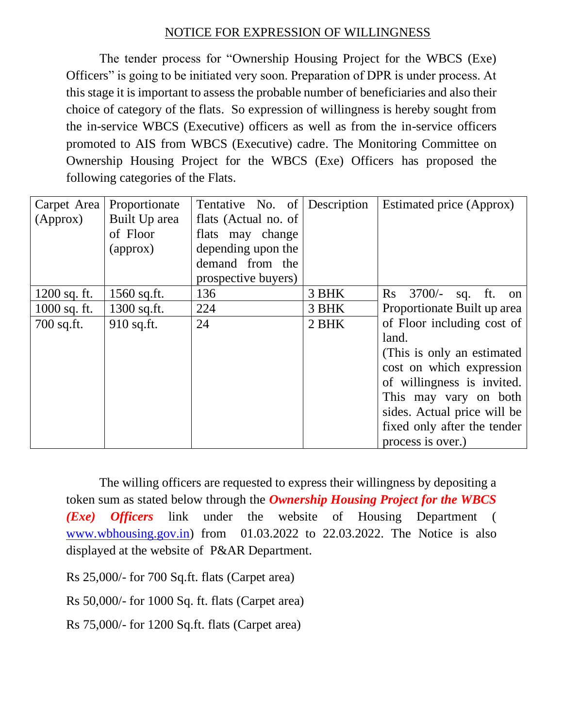## NOTICE FOR EXPRESSION OF WILLINGNESS

The tender process for "Ownership Housing Project for the WBCS (Exe) Officers" is going to be initiated very soon. Preparation of DPR is under process. At this stage it is important to assess the probable number of beneficiaries and also their choice of category of the flats. So expression of willingness is hereby sought from the in-service WBCS (Executive) officers as well as from the in-service officers promoted to AIS from WBCS (Executive) cadre. The Monitoring Committee on Ownership Housing Project for the WBCS (Exe) Officers has proposed the following categories of the Flats.

| Carpet Area<br>(Approx)                          | Proportionate<br>Built Up area<br>of Floor<br>$\langle$ approx $\rangle$ | Tentative No. of<br>flats (Actual no. of<br>flats may change<br>depending upon the<br>demand from the | Description             | Estimated price (Approx)                                                                                                                                                                                                                                                                                          |
|--------------------------------------------------|--------------------------------------------------------------------------|-------------------------------------------------------------------------------------------------------|-------------------------|-------------------------------------------------------------------------------------------------------------------------------------------------------------------------------------------------------------------------------------------------------------------------------------------------------------------|
| $1200$ sq. ft.<br>$1000$ sq. ft.<br>$700$ sq.ft. | $1560$ sq.ft.<br>$1300$ sq.ft.<br>910 sq.ft.                             | prospective buyers)<br>136<br>224<br>24                                                               | 3 BHK<br>3 BHK<br>2 BHK | $\mathbf{R}$ s<br>3700/-<br>sq. ft. on<br>Proportionate Built up area<br>of Floor including cost of<br>land.<br>(This is only an estimated)<br>cost on which expression<br>of willingness is invited.<br>This may vary on both<br>sides. Actual price will be<br>fixed only after the tender<br>process is over.) |

The willing officers are requested to express their willingness by depositing a token sum as stated below through the *Ownership Housing Project for the WBCS (Exe) Officers* link under the website of Housing Department ( [www.wbhousing.gov.in\)](http://www.wbhousing.gov.in/) from 01.03.2022 to 22.03.2022. The Notice is also displayed at the website of P&AR Department.

Rs 25,000/- for 700 Sq.ft. flats (Carpet area)

Rs 50,000/- for 1000 Sq. ft. flats (Carpet area)

Rs 75,000/- for 1200 Sq.ft. flats (Carpet area)